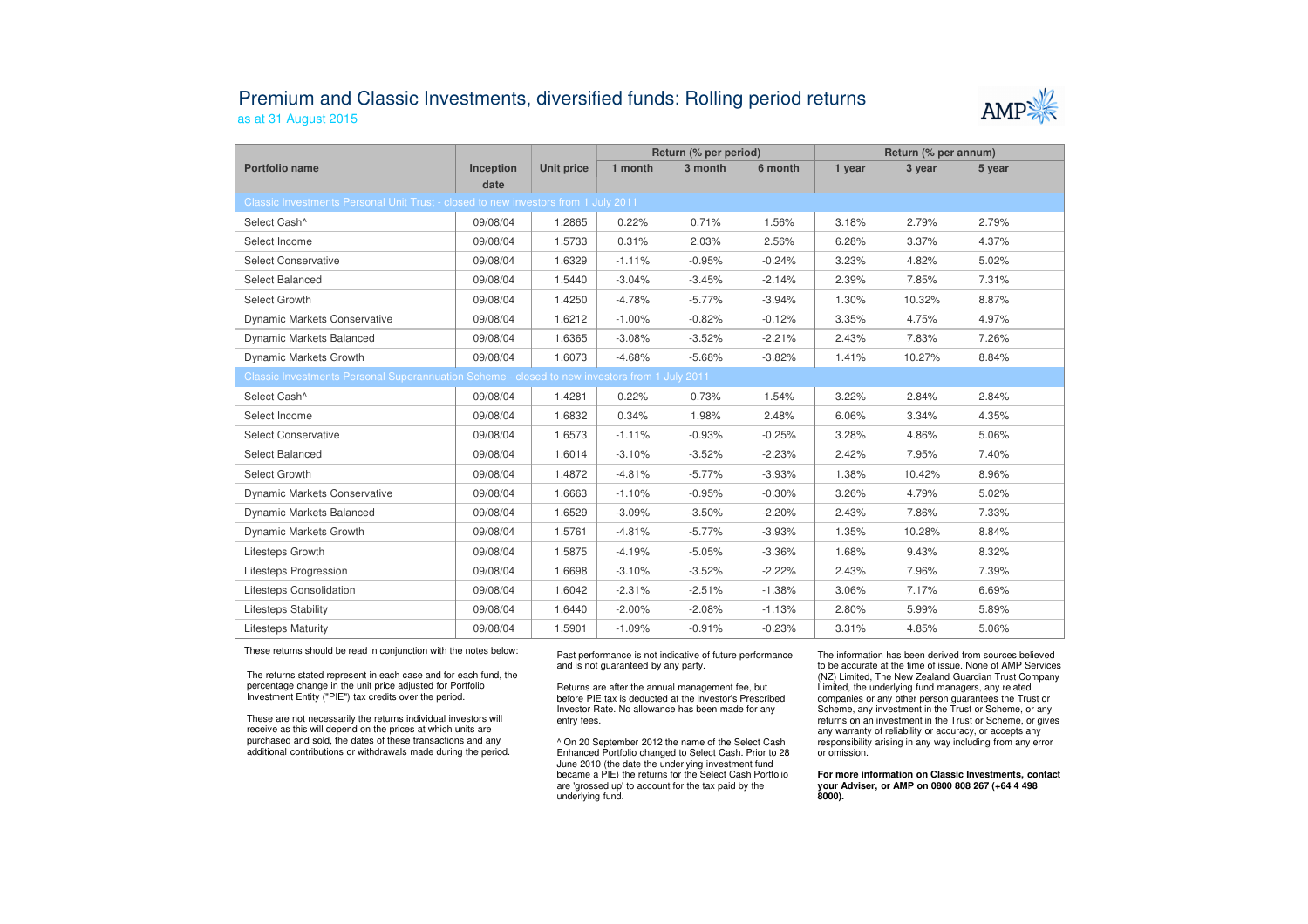## Premium and Classic Investments, diversified funds: Rolling period returnsas at 31 August 2015



|                                                                                               |                   |            | Return (% per period) |          |          | Return (% per annum) |        |        |  |  |
|-----------------------------------------------------------------------------------------------|-------------------|------------|-----------------------|----------|----------|----------------------|--------|--------|--|--|
| Portfolio name                                                                                | Inception<br>date | Unit price | 1 month               | 3 month  | 6 month  | 1 year               | 3 year | 5 year |  |  |
| Classic Investments Personal Unit Trust - closed to new investors from 1 July 2011            |                   |            |                       |          |          |                      |        |        |  |  |
| Select Cash^                                                                                  | 09/08/04          | 1.2865     | 0.22%                 | 0.71%    | 1.56%    | 3.18%                | 2.79%  | 2.79%  |  |  |
| Select Income                                                                                 | 09/08/04          | 1.5733     | 0.31%                 | 2.03%    | 2.56%    | 6.28%                | 3.37%  | 4.37%  |  |  |
| <b>Select Conservative</b>                                                                    | 09/08/04          | 1.6329     | $-1.11%$              | $-0.95%$ | $-0.24%$ | 3.23%                | 4.82%  | 5.02%  |  |  |
| <b>Select Balanced</b>                                                                        | 09/08/04          | 1.5440     | $-3.04%$              | $-3.45%$ | $-2.14%$ | 2.39%                | 7.85%  | 7.31%  |  |  |
| Select Growth                                                                                 | 09/08/04          | 1.4250     | $-4.78%$              | $-5.77%$ | $-3.94%$ | 1.30%                | 10.32% | 8.87%  |  |  |
| <b>Dynamic Markets Conservative</b>                                                           | 09/08/04          | 1.6212     | $-1.00%$              | $-0.82%$ | $-0.12%$ | 3.35%                | 4.75%  | 4.97%  |  |  |
| Dynamic Markets Balanced                                                                      | 09/08/04          | 1.6365     | $-3.08%$              | $-3.52%$ | $-2.21%$ | 2.43%                | 7.83%  | 7.26%  |  |  |
| Dynamic Markets Growth                                                                        | 09/08/04          | 1.6073     | $-4.68%$              | $-5.68%$ | $-3.82%$ | 1.41%                | 10.27% | 8.84%  |  |  |
| Classic Investments Personal Superannuation Scheme - closed to new investors from 1 July 2011 |                   |            |                       |          |          |                      |        |        |  |  |
| Select Cash^                                                                                  | 09/08/04          | 1.4281     | 0.22%                 | 0.73%    | 1.54%    | 3.22%                | 2.84%  | 2.84%  |  |  |
| Select Income                                                                                 | 09/08/04          | 1.6832     | 0.34%                 | 1.98%    | 2.48%    | 6.06%                | 3.34%  | 4.35%  |  |  |
| <b>Select Conservative</b>                                                                    | 09/08/04          | 1.6573     | $-1.11%$              | $-0.93%$ | $-0.25%$ | 3.28%                | 4.86%  | 5.06%  |  |  |
| Select Balanced                                                                               | 09/08/04          | 1.6014     | $-3.10%$              | $-3.52%$ | $-2.23%$ | 2.42%                | 7.95%  | 7.40%  |  |  |
| Select Growth                                                                                 | 09/08/04          | 1.4872     | $-4.81%$              | $-5.77%$ | $-3.93%$ | 1.38%                | 10.42% | 8.96%  |  |  |
| <b>Dynamic Markets Conservative</b>                                                           | 09/08/04          | 1.6663     | $-1.10%$              | $-0.95%$ | $-0.30%$ | 3.26%                | 4.79%  | 5.02%  |  |  |
| Dynamic Markets Balanced                                                                      | 09/08/04          | 1.6529     | $-3.09%$              | $-3.50%$ | $-2.20%$ | 2.43%                | 7.86%  | 7.33%  |  |  |
| Dynamic Markets Growth                                                                        | 09/08/04          | 1.5761     | $-4.81%$              | $-5.77%$ | $-3.93%$ | 1.35%                | 10.28% | 8.84%  |  |  |
| Lifesteps Growth                                                                              | 09/08/04          | 1.5875     | $-4.19%$              | $-5.05%$ | $-3.36%$ | 1.68%                | 9.43%  | 8.32%  |  |  |
| Lifesteps Progression                                                                         | 09/08/04          | 1.6698     | $-3.10%$              | $-3.52%$ | $-2.22%$ | 2.43%                | 7.96%  | 7.39%  |  |  |
| Lifesteps Consolidation                                                                       | 09/08/04          | 1.6042     | $-2.31%$              | $-2.51%$ | $-1.38%$ | 3.06%                | 7.17%  | 6.69%  |  |  |
| <b>Lifesteps Stability</b>                                                                    | 09/08/04          | 1.6440     | $-2.00%$              | $-2.08%$ | $-1.13%$ | 2.80%                | 5.99%  | 5.89%  |  |  |
| <b>Lifesteps Maturity</b>                                                                     | 09/08/04          | 1.5901     | $-1.09%$              | $-0.91%$ | $-0.23%$ | 3.31%                | 4.85%  | 5.06%  |  |  |

These returns should be read in conjunction with the notes below:

The returns stated represent in each case and for each fund, the percentage change in the unit price adjusted for Portfolio Investment Entity ("PIE") tax credits over the period.

These are not necessarily the returns individual investors will receive as this will depend on the prices at which units are purchased and sold, the dates of these transactions and any additional contributions or withdrawals made during the period. Past performance is not indicative of future performance and is not guaranteed by any party.

Returns are after the annual management fee, but before PIE tax is deducted at the investor's Prescribed Investor Rate. No allowance has been made for any entry fees.

^ On 20 September 2012 the name of the Select Cash Enhanced Portfolio changed to Select Cash. Prior to 28 June 2010 (the date the underlying investment fund became a PIE) the returns for the Select Cash Portfolio are 'grossed up' to account for the tax paid by theunderlying fund.

The information has been derived from sources believed to be accurate at the time of issue. None of AMP Services (NZ) Limited, The New Zealand Guardian Trust Company Limited, the underlying fund managers, any related companies or any other person guarantees the Trust or Scheme, any investment in the Trust or Scheme, or any returns on an investment in the Trust or Scheme, or gives any warranty of reliability or accuracy, or accepts any responsibility arising in any way including from any error or omission.

**For more information on Classic Investments, contact your Adviser, or AMP on 0800 808 267 (+64 4 498 8000).**